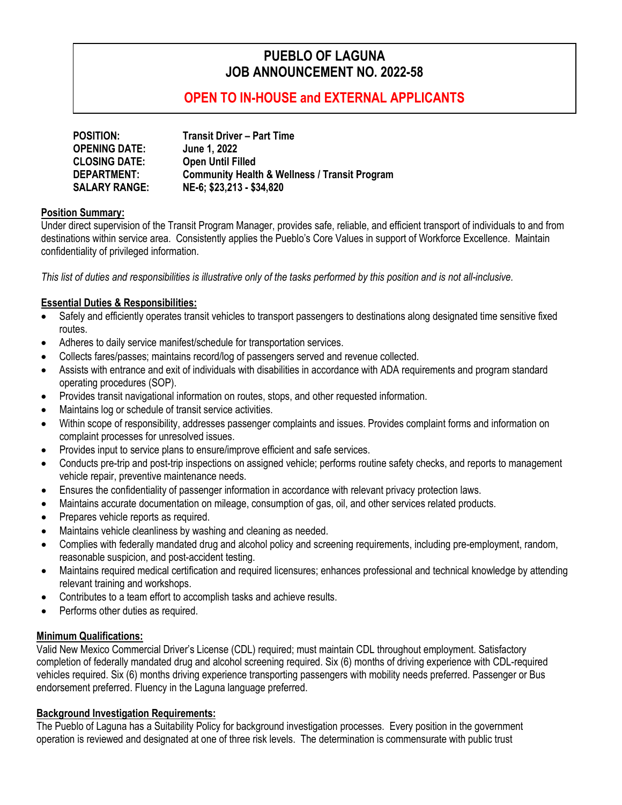# **PUEBLO OF LAGUNA JOB ANNOUNCEMENT NO. 2022-58**

## **OPEN TO IN-HOUSE and EXTERNAL APPLICANTS**

| <b>POSITION:</b>     | <b>Transit Driver - Part Time</b>                        |
|----------------------|----------------------------------------------------------|
| <b>OPENING DATE:</b> | June 1, 2022                                             |
| <b>CLOSING DATE:</b> | <b>Open Until Filled</b>                                 |
| DEPARTMENT:          | <b>Community Health &amp; Wellness / Transit Program</b> |
| <b>SALARY RANGE:</b> | NE-6; \$23,213 - \$34,820                                |

#### **Position Summary:**

Under direct supervision of the Transit Program Manager, provides safe, reliable, and efficient transport of individuals to and from destinations within service area. Consistently applies the Pueblo's Core Values in support of Workforce Excellence. Maintain confidentiality of privileged information.

*This list of duties and responsibilities is illustrative only of the tasks performed by this position and is not all-inclusive.*

#### **Essential Duties & Responsibilities:**

- Safely and efficiently operates transit vehicles to transport passengers to destinations along designated time sensitive fixed routes.
- Adheres to daily service manifest/schedule for transportation services.
- Collects fares/passes; maintains record/log of passengers served and revenue collected.
- Assists with entrance and exit of individuals with disabilities in accordance with ADA requirements and program standard operating procedures (SOP).
- Provides transit navigational information on routes, stops, and other requested information.
- Maintains log or schedule of transit service activities.
- Within scope of responsibility, addresses passenger complaints and issues. Provides complaint forms and information on complaint processes for unresolved issues.
- Provides input to service plans to ensure/improve efficient and safe services.
- Conducts pre-trip and post-trip inspections on assigned vehicle; performs routine safety checks, and reports to management vehicle repair, preventive maintenance needs.
- Ensures the confidentiality of passenger information in accordance with relevant privacy protection laws.
- Maintains accurate documentation on mileage, consumption of gas, oil, and other services related products.
- Prepares vehicle reports as required.
- Maintains vehicle cleanliness by washing and cleaning as needed.
- Complies with federally mandated drug and alcohol policy and screening requirements, including pre-employment, random, reasonable suspicion, and post-accident testing.
- Maintains required medical certification and required licensures; enhances professional and technical knowledge by attending relevant training and workshops.
- Contributes to a team effort to accomplish tasks and achieve results.
- Performs other duties as required.

### **Minimum Qualifications:**

Valid New Mexico Commercial Driver's License (CDL) required; must maintain CDL throughout employment. Satisfactory completion of federally mandated drug and alcohol screening required. Six (6) months of driving experience with CDL-required vehicles required. Six (6) months driving experience transporting passengers with mobility needs preferred. Passenger or Bus endorsement preferred. Fluency in the Laguna language preferred.

#### **Background Investigation Requirements:**

The Pueblo of Laguna has a Suitability Policy for background investigation processes. Every position in the government operation is reviewed and designated at one of three risk levels. The determination is commensurate with public trust